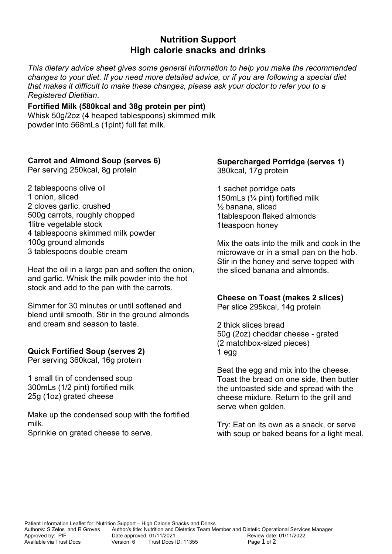## **Nutrition Support High calorie snacks and drinks**

*This dietary advice sheet gives some general information to help you make the recommended changes to your diet. If you need more detailed advice, or if you are following a special diet that makes it difficult to make these changes, please ask your doctor to refer you to a Registered Dietitian*.

**Fortified Milk (580kcal and 38g protein per pint)** 

Whisk 50g/2oz (4 heaped tablespoons) skimmed milk powder into 568mLs (1pint) full fat milk.

### **Carrot and Almond Soup (serves 6)**

Per serving 250kcal, 8g protein

2 tablespoons olive oil 1 onion, sliced 2 cloves garlic, crushed 500g carrots, roughly chopped 1litre vegetable stock 4 tablespoons skimmed milk powder 100g ground almonds 3 tablespoons double cream

Heat the oil in a large pan and soften the onion, and garlic. Whisk the milk powder into the hot stock and add to the pan with the carrots.

Simmer for 30 minutes or until softened and blend until smooth. Stir in the ground almonds and cream and season to taste.

### **Quick Fortified Soup (serves 2)**

Per serving 360kcal, 16g protein

1 small tin of condensed soup 300mLs (1/2 pint) fortified milk 25g (1oz) grated cheese

Make up the condensed soup with the fortified milk.

Sprinkle on grated cheese to serve.

#### **Supercharged Porridge (serves 1)** 380kcal, 17g protein

1 sachet porridge oats 150mLs (¼ pint) fortified milk ½ banana, sliced 1tablespoon flaked almonds 1teaspoon honey

Mix the oats into the milk and cook in the microwave or in a small pan on the hob. Stir in the honey and serve topped with the sliced banana and almonds.

### **Cheese on Toast (makes 2 slices)**

Per slice 295kcal, 14g protein

2 thick slices bread 50g (2oz) cheddar cheese - grated (2 matchbox-sized pieces) 1 egg

Beat the egg and mix into the cheese. Toast the bread on one side, then butter the untoasted side and spread with the cheese mixture. Return to the grill and serve when golden.

Try: Eat on its own as a snack, or serve with soup or baked beans for a light meal.